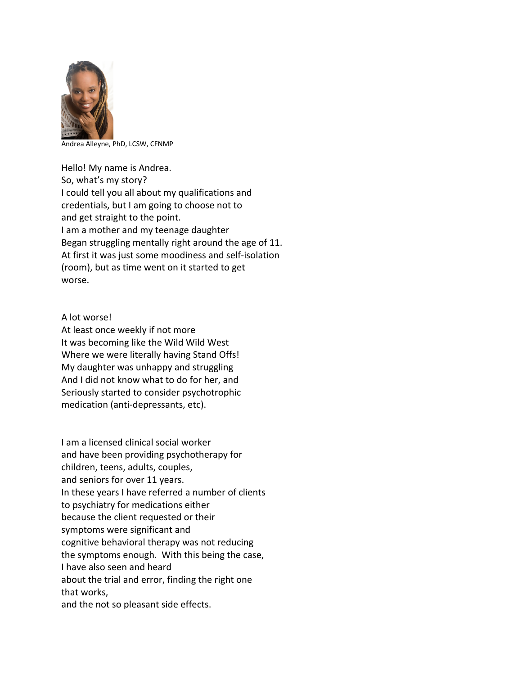

Andrea Alleyne, PhD, LCSW, CFNMP

Hello! My name is Andrea. So, what's my story? I could tell you all about my qualifications and credentials, but I am going to choose not to and get straight to the point. I am a mother and my teenage daughter Began struggling mentally right around the age of 11. At first it was just some moodiness and self-isolation (room), but as time went on it started to get worse.

A lot worse!

At least once weekly if not more It was becoming like the Wild Wild West Where we were literally having Stand Offs! My daughter was unhappy and struggling And I did not know what to do for her, and Seriously started to consider psychotrophic medication (anti-depressants, etc).

I am a licensed clinical social worker and have been providing psychotherapy for children, teens, adults, couples, and seniors for over 11 years. In these years I have referred a number of clients to psychiatry for medications either because the client requested or their symptoms were significant and cognitive behavioral therapy was not reducing the symptoms enough. With this being the case, I have also seen and heard about the trial and error, finding the right one that works, and the not so pleasant side effects.